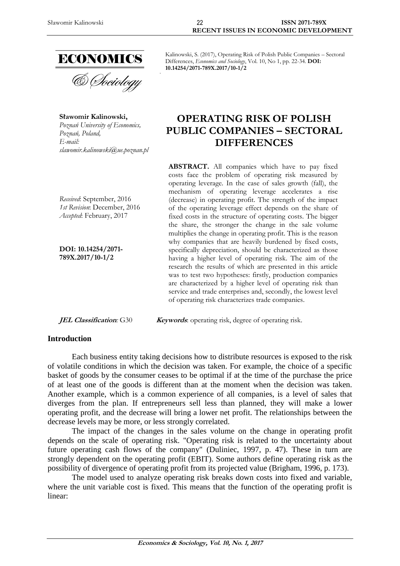

& Sociology

**Sławomir Kalinowski,** *Poznań University of Economics, Poznań, Poland, E-mail: slawomir.kalinowski@ue.poznan.pl*

*Received*: September, 2016 *1st Revision*: December, 2016 *Accepted*: February, 2017

**DOI: 10.14254/2071- 789X.2017/10-1/2**

### **Introduction**

Kalinowski, S. (2017), Operating Risk of Polish Public Companies – Sectoral Differences, *Economics and Sociology*, Vol. 10, No 1, pp. 22-34. **DOI: 10.14254/2071-789X.2017/10-1/2**

# **OPERATING RISK OF POLISH PUBLIC COMPANIES – SECTORAL DIFFERENCES**

**ABSTRACT.** All companies which have to pay fixed costs face the problem of operating risk measured by operating leverage. In the case of sales growth (fall), the mechanism of operating leverage accelerates a rise (decrease) in operating profit. The strength of the impact of the operating leverage effect depends on the share of fixed costs in the structure of operating costs. The bigger the share, the stronger the change in the sale volume multiplies the change in operating profit. This is the reason why companies that are heavily burdened by fixed costs, specifically depreciation, should be characterized as those having a higher level of operating risk. The aim of the research the results of which are presented in this article was to test two hypotheses: firstly, production companies are characterized by a higher level of operating risk than service and trade enterprises and, secondly, the lowest level of operating risk characterizes trade companies.

*JEL Classification:* G30 *Keywords:* operating risk, degree of operating risk.

Each business entity taking decisions how to distribute resources is exposed to the risk of volatile conditions in which the decision was taken. For example, the choice of a specific basket of goods by the consumer ceases to be optimal if at the time of the purchase the price of at least one of the goods is different than at the moment when the decision was taken. Another example, which is a common experience of all companies, is a level of sales that diverges from the plan. If entrepreneurs sell less than planned, they will make a lower operating profit, and the decrease will bring a lower net profit. The relationships between the decrease levels may be more, or less strongly correlated.

The impact of the changes in the sales volume on the change in operating profit depends on the scale of operating risk. "Operating risk is related to the uncertainty about future operating cash flows of the company" (Duliniec, 1997, p. 47). These in turn are strongly dependent on the operating profit (EBIT). Some authors define operating risk as the possibility of divergence of operating profit from its projected value (Brigham, 1996, p. 173).

The model used to analyze operating risk breaks down costs into fixed and variable, where the unit variable cost is fixed. This means that the function of the operating profit is linear: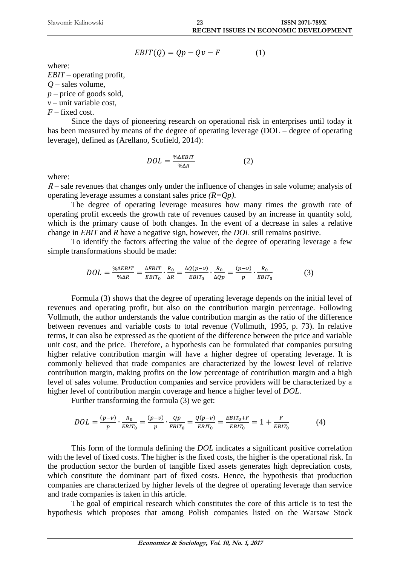$$
EBIT(Q) = Qp - Qv - F \tag{1}
$$

where:

*EBIT* – operating profit, *Q* – sales volume, *p* – price of goods sold,  $v$  – unit variable cost. *F* – fixed cost.

Since the days of pioneering research on operational risk in enterprises until today it has been measured by means of the degree of operating leverage (DOL – degree of operating leverage), defined as (Arellano, Scofield, 2014):

$$
DOL = \frac{\% \Delta EBIT}{\% \Delta R} \tag{2}
$$

where:

 $R$  – sale revenues that changes only under the influence of changes in sale volume; analysis of operating leverage assumes a constant sales price *(R=Qp)*.

The degree of operating leverage measures how many times the growth rate of operating profit exceeds the growth rate of revenues caused by an increase in quantity sold, which is the primary cause of both changes. In the event of a decrease in sales a relative change in *EBIT* and *R* have a negative sign, however, the *DOL* still remains positive.

To identify the factors affecting the value of the degree of operating leverage a few simple transformations should be made:

$$
DOL = \frac{\% \Delta EBIT}{\% \Delta R} = \frac{\Delta EBIT}{EBIT_0} \cdot \frac{R_0}{\Delta R} = \frac{\Delta Q(p-v)}{EBIT_0} \cdot \frac{R_0}{\Delta Qp} = \frac{(p-v)}{p} \cdot \frac{R_0}{EBIT_0}
$$
(3)

Formula (3) shows that the degree of operating leverage depends on the initial level of revenues and operating profit, but also on the contribution margin percentage. Following Vollmuth, the author understands the value contribution margin as the ratio of the difference between revenues and variable costs to total revenue (Vollmuth, 1995, p. 73). In relative terms, it can also be expressed as the quotient of the difference between the price and variable unit cost, and the price. Therefore, a hypothesis can be formulated that companies pursuing higher relative contribution margin will have a higher degree of operating leverage. It is commonly believed that trade companies are characterized by the lowest level of relative contribution margin, making profits on the low percentage of contribution margin and a high level of sales volume. Production companies and service providers will be characterized by a higher level of contribution margin coverage and hence a higher level of *DOL*.

Further transforming the formula (3) we get:

$$
DOL = \frac{(p-v)}{p} \cdot \frac{R_0}{EBIT_0} = \frac{(p-v)}{p} \cdot \frac{Qp}{EBIT_0} = \frac{Q(p-v)}{EBIT_0} = \frac{EBIT_0 + F}{EBIT_0} = 1 + \frac{F}{EBIT_0}
$$
(4)

This form of the formula defining the *DOL* indicates a significant positive correlation with the level of fixed costs. The higher is the fixed costs, the higher is the operational risk. In the production sector the burden of tangible fixed assets generates high depreciation costs, which constitute the dominant part of fixed costs. Hence, the hypothesis that production companies are characterized by higher levels of the degree of operating leverage than service and trade companies is taken in this article.

The goal of empirical research which constitutes the core of this article is to test the hypothesis which proposes that among Polish companies listed on the Warsaw Stock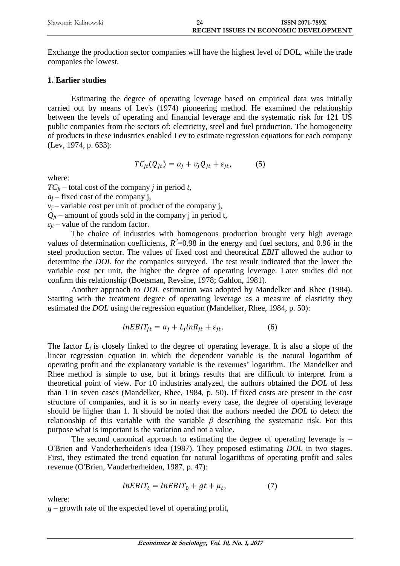Exchange the production sector companies will have the highest level of DOL, while the trade companies the lowest.

# **1. Earlier studies**

Estimating the degree of operating leverage based on empirical data was initially carried out by means of Lev's (1974) pioneering method. He examined the relationship between the levels of operating and financial leverage and the systematic risk for 121 US public companies from the sectors of: electricity, steel and fuel production. The homogeneity of products in these industries enabled Lev to estimate regression equations for each company (Lev, 1974, p. 633):

$$
TC_{jt}(Q_{jt}) = a_j + v_j Q_{jt} + \varepsilon_{jt},
$$
 (5)

where:

 $TC_{it}$  – total cost of the company *j* in period *t*,

 $a_i$  – fixed cost of the company *i*,

 $v_i$  – variable cost per unit of product of the company j,

 $Q_{it}$  – amount of goods sold in the company j in period t,

 $\varepsilon_{it}$  – value of the random factor.

The choice of industries with homogenous production brought very high average values of determination coefficients,  $R^2$ =0.98 in the energy and fuel sectors, and 0.96 in the steel production sector. The values of fixed cost and theoretical *EBIT* allowed the author to determine the *DOL* for the companies surveyed. The test result indicated that the lower the variable cost per unit, the higher the degree of operating leverage. Later studies did not confirm this relationship (Boetsman, Revsine, 1978; Gahlon, 1981).

Another approach to *DOL* estimation was adopted by Mandelker and Rhee (1984). Starting with the treatment degree of operating leverage as a measure of elasticity they estimated the *DOL* using the regression equation (Mandelker, Rhee, 1984, p. 50):

$$
lnEBIT_{jt} = a_j + L_j lnR_{jt} + \varepsilon_{jt}.
$$
 (6)

The factor  $L_i$  is closely linked to the degree of operating leverage. It is also a slope of the linear regression equation in which the dependent variable is the natural logarithm of operating profit and the explanatory variable is the revenues' logarithm. The Mandelker and Rhee method is simple to use, but it brings results that are difficult to interpret from a theoretical point of view. For 10 industries analyzed, the authors obtained the *DOL* of less than 1 in seven cases (Mandelker, Rhee, 1984, p. 50). If fixed costs are present in the cost structure of companies, and it is so in nearly every case, the degree of operating leverage should be higher than 1. It should be noted that the authors needed the *DOL* to detect the relationship of this variable with the variable  $\beta$  describing the systematic risk. For this purpose what is important is the variation and not a value.

The second canonical approach to estimating the degree of operating leverage is – O'Brien and Vanderherheiden's idea (1987). They proposed estimating *DOL* in two stages. First, they estimated the trend equation for natural logarithms of operating profit and sales revenue (O'Brien, Vanderherheiden, 1987, p. 47):

$$
lnEBIT_t = lnEBIT_0 + gt + \mu_t, \qquad (7)
$$

where:

*g* – growth rate of the expected level of operating profit,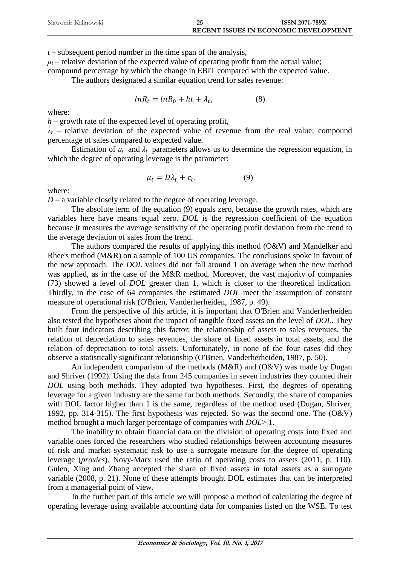| Sławomir Kalinowski | 25 | <b>ISSN 2071-789X</b>                 |
|---------------------|----|---------------------------------------|
|                     |    | RECENT ISSUES IN ECONOMIC DEVELOPMENT |

*t* – subsequent period number in the time span of the analysis,

 $\mu_t$  – relative deviation of the expected value of operating profit from the actual value;

compound percentage by which the change in EBIT compared with the expected value.

The authors designated a similar equation trend for sales revenue:

$$
lnR_t = lnR_0 + ht + \lambda_t, \qquad (8)
$$

where:

*h* – growth rate of the expected level of operating profit,

 $\lambda_t$  – relative deviation of the expected value of revenue from the real value; compound percentage of sales compared to expected value.

Estimation of  $\mu_t$  and  $\lambda_t$  parameters allows us to determine the regression equation, in which the degree of operating leverage is the parameter:

$$
\mu_t = D\lambda_t + \varepsilon_t. \tag{9}
$$

where:

 $D$  – a variable closely related to the degree of operating leverage.

The absolute term of the equation (9) equals zero, because the growth rates, which are variables here have means equal zero. *DOL* is the regression coefficient of the equation because it measures the average sensitivity of the operating profit deviation from the trend to the average deviation of sales from the trend.

The authors compared the results of applying this method (O&V) and Mandelker and Rhee's method (M&R) on a sample of 100 US companies. The conclusions spoke in favour of the new approach. The *DOL* values did not fall around 1 on average when the new method was applied, as in the case of the M&R method. Moreover, the vast majority of companies (73) showed a level of *DOL* greater than 1, which is closer to the theoretical indication. Thirdly, in the case of 64 companies the estimated *DOL* meet the assumption of constant measure of operational risk (O'Brien, Vanderherheiden, 1987, p. 49).

From the perspective of this article, it is important that O'Brien and Vanderherheiden also tested the hypotheses about the impact of tangible fixed assets on the level of *DOL*. They built four indicators describing this factor: the relationship of assets to sales revenues, the relation of depreciation to sales revenues, the share of fixed assets in total assets, and the relation of depreciation to total assets. Unfortunately, in none of the four cases did they observe a statistically significant relationship (O'Brien, Vanderherheiden, 1987, p. 50).

An independent comparison of the methods (M&R) and (O&V) was made by Dugan and Shriver (1992). Using the data from 245 companies in seven industries they counted their *DOL* using both methods. They adopted two hypotheses. First, the degrees of operating leverage for a given industry are the same for both methods. Secondly, the share of companies with DOL factor higher than 1 is the same, regardless of the method used (Dugan, Shriver, 1992, pp. 314-315). The first hypothesis was rejected. So was the second one. The (O&V) method brought a much larger percentage of companies with *DOL*> 1.

The inability to obtain financial data on the division of operating costs into fixed and variable ones forced the researchers who studied relationships between accounting measures of risk and market systematic risk to use a surrogate measure for the degree of operating leverage (*proxies*). Novy-Marx used the ratio of operating costs to assets (2011, p. 110). Gulen, Xing and Zhang accepted the share of fixed assets in total assets as a surrogate variable (2008, p. 21). None of these attempts brought DOL estimates that can be interpreted from a managerial point of view.

In the further part of this article we will propose a method of calculating the degree of operating leverage using available accounting data for companies listed on the WSE. To test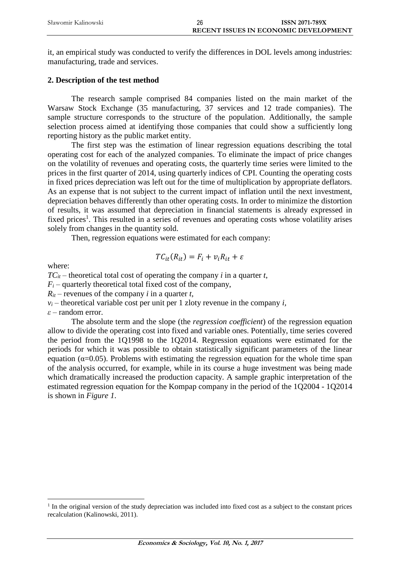| Sławomir Kalinowski | 26 | <b>ISSN 2071-789X</b>                        |
|---------------------|----|----------------------------------------------|
|                     |    | <b>RECENT ISSUES IN ECONOMIC DEVELOPMENT</b> |

it, an empirical study was conducted to verify the differences in DOL levels among industries: manufacturing, trade and services.

## **2. Description of the test method**

The research sample comprised 84 companies listed on the main market of the Warsaw Stock Exchange (35 manufacturing, 37 services and 12 trade companies). The sample structure corresponds to the structure of the population. Additionally, the sample selection process aimed at identifying those companies that could show a sufficiently long reporting history as the public market entity.

The first step was the estimation of linear regression equations describing the total operating cost for each of the analyzed companies. To eliminate the impact of price changes on the volatility of revenues and operating costs, the quarterly time series were limited to the prices in the first quarter of 2014, using quarterly indices of CPI. Counting the operating costs in fixed prices depreciation was left out for the time of multiplication by appropriate deflators. As an expense that is not subject to the current impact of inflation until the next investment, depreciation behaves differently than other operating costs. In order to minimize the distortion of results, it was assumed that depreciation in financial statements is already expressed in fixed prices<sup>1</sup>. This resulted in a series of revenues and operating costs whose volatility arises solely from changes in the quantity sold.

Then, regression equations were estimated for each company:

$$
TC_{it}(R_{it}) = F_i + v_i R_{it} + \varepsilon
$$

where:

 $\overline{a}$ 

 $TC_{it}$  – theoretical total cost of operating the company *i* in a quarter *t*,

 $F_i$  – quarterly theoretical total fixed cost of the company,

 $R_{it}$  – revenues of the company *i* in a quarter *t*,

 $v_i$  – theoretical variable cost per unit per 1 zloty revenue in the company *i*,

*ε* – random error.

The absolute term and the slope (the *regression coefficient*) of the regression equation allow to divide the operating cost into fixed and variable ones. Potentially, time series covered the period from the 1Q1998 to the 1Q2014. Regression equations were estimated for the periods for which it was possible to obtain statistically significant parameters of the linear equation ( $\alpha$ =0.05). Problems with estimating the regression equation for the whole time span of the analysis occurred, for example, while in its course a huge investment was being made which dramatically increased the production capacity. A sample graphic interpretation of the estimated regression equation for the Kompap company in the period of the 1Q2004 - 1Q2014 is shown in *Figure 1*.

<sup>&</sup>lt;sup>1</sup> In the original version of the study depreciation was included into fixed cost as a subject to the constant prices recalculation (Kalinowski, 2011).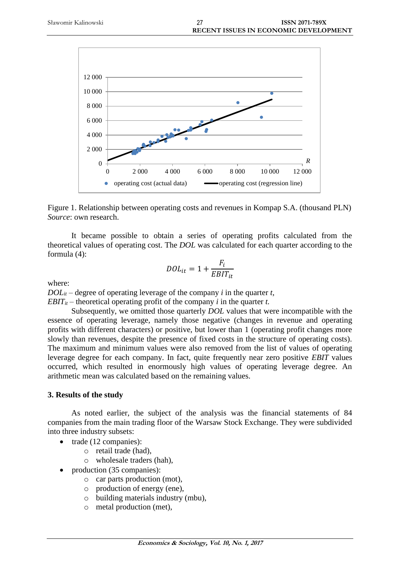

Figure 1. Relationship between operating costs and revenues in Kompap S.A. (thousand PLN) *Source*: own research.

It became possible to obtain a series of operating profits calculated from the theoretical values of operating cost. The *DOL* was calculated for each quarter according to the formula (4):

$$
DOL_{it} = 1 + \frac{F_i}{EBIT_{it}}
$$

where:

 $DOL<sub>it</sub>$  – degree of operating leverage of the company *i* in the quarter *t*,

*EBIT<sub>it</sub>* – theoretical operating profit of the company *i* in the quarter *t*.

Subsequently, we omitted those quarterly *DOL* values that were incompatible with the essence of operating leverage, namely those negative (changes in revenue and operating profits with different characters) or positive, but lower than 1 (operating profit changes more slowly than revenues, despite the presence of fixed costs in the structure of operating costs). The maximum and minimum values were also removed from the list of values of operating leverage degree for each company. In fact, quite frequently near zero positive *EBIT* values occurred, which resulted in enormously high values of operating leverage degree. An arithmetic mean was calculated based on the remaining values.

# **3. Results of the study**

As noted earlier, the subject of the analysis was the financial statements of 84 companies from the main trading floor of the Warsaw Stock Exchange. They were subdivided into three industry subsets:

- trade (12 companies):
	- o retail trade (had),
	- o wholesale traders (hah),
- production (35 companies):
	- o car parts production (mot),
	- o production of energy (ene),
	- o building materials industry (mbu),
	- o metal production (met),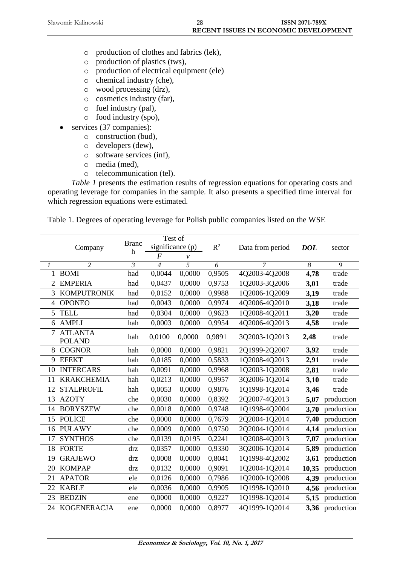- o production of clothes and fabrics (lek),
- o production of plastics (tws),
- o production of electrical equipment (ele)
- o chemical industry (che),
- o wood processing (drz),
- o cosmetics industry (far),
- o fuel industry (pal),
- o food industry (spo),
- services (37 companies):
	- o construction (bud),
	- o developers (dew),
	- o software services (inf),
	- o media (med),
	- o telecommunication (tel).

*Table 1* presents the estimation results of regression equations for operating costs and operating leverage for companies in the sample. It also presents a specified time interval for which regression equations were estimated.

Table 1. Degrees of operating leverage for Polish public companies listed on the WSE

|                | Company                         | <b>Branc</b><br>h | Test of<br>significance (p) |                | $R^2$  | Data from period | <b>DOL</b>            | sector     |
|----------------|---------------------------------|-------------------|-----------------------------|----------------|--------|------------------|-----------------------|------------|
|                |                                 |                   | $\boldsymbol{F}$            | $\mathcal V$   |        |                  |                       |            |
| $\mathcal{I}$  | $\overline{2}$                  | $\mathfrak{Z}$    | $\overline{4}$              | $\overline{5}$ | 6      | $\overline{7}$   | $\boldsymbol{\delta}$ | 9          |
|                | 1 BOMI                          | had               | 0,0044                      | 0,0000         | 0,9505 | 4Q2003-4Q2008    | 4,78                  | trade      |
| $\overline{2}$ | <b>EMPERIA</b>                  | had               | 0,0437                      | 0,0000         | 0,9753 | 1Q2003-3Q2006    | 3,01                  | trade      |
| 3              | <b>KOMPUTRONIK</b>              | had               | 0,0152                      | 0,0000         | 0,9988 | 1Q2006-1Q2009    | 3,19                  | trade      |
| $\overline{4}$ | <b>OPONEO</b>                   | had               | 0,0043                      | 0,0000         | 0,9974 | 4Q2006-4Q2010    | 3,18                  | trade      |
| 5              | <b>TELL</b>                     | had               | 0,0304                      | 0,0000         | 0,9623 | 1Q2008-4Q2011    | 3,20                  | trade      |
| 6              | <b>AMPLI</b>                    | hah               | 0,0003                      | 0,0000         | 0,9954 | 4Q2006-4Q2013    | 4,58                  | trade      |
| $\overline{7}$ | <b>ATLANTA</b><br><b>POLAND</b> | hah               | 0,0100                      | 0,0000         | 0,9891 | 3Q2003-1Q2013    | 2,48                  | trade      |
| 8              | <b>COGNOR</b>                   | hah               | 0,0000                      | 0,0000         | 0,9821 | 2Q1999-2Q2007    | 3,92                  | trade      |
| 9              | <b>EFEKT</b>                    | hah               | 0,0185                      | 0,0000         | 0,5833 | 1Q2008-4Q2013    | 2,91                  | trade      |
| 10             | <b>INTERCARS</b>                | hah               | 0,0091                      | 0,0000         | 0,9968 | 1Q2003-1Q2008    | 2,81                  | trade      |
| 11             | <b>KRAKCHEMIA</b>               | hah               | 0,0213                      | 0,0000         | 0,9957 | 3Q2006-1Q2014    | 3,10                  | trade      |
| 12             | <b>STALPROFIL</b>               | hah               | 0,0053                      | 0,0000         | 0,9876 | 1Q1998-1Q2014    | 3,46                  | trade      |
| 13             | <b>AZOTY</b>                    | che               | 0,0030                      | 0,0000         | 0,8392 | 2Q2007-4Q2013    | 5,07                  | production |
| 14             | <b>BORYSZEW</b>                 | che               | 0,0018                      | 0,0000         | 0,9748 | 1Q1998-4Q2004    | 3,70                  | production |
| 15             | <b>POLICE</b>                   | che               | 0,0000                      | 0,0000         | 0,7679 | 2Q2004-1Q2014    | 7,40                  | production |
| 16             | <b>PUŁAWY</b>                   | che               | 0,0009                      | 0,0000         | 0,9750 | 2Q2004-1Q2014    | 4,14                  | production |
| 17             | <b>SYNTHOS</b>                  | che               | 0,0139                      | 0,0195         | 0,2241 | 1Q2008-4Q2013    | 7,07                  | production |
| 18             | <b>FORTE</b>                    | drz               | 0,0357                      | 0,0000         | 0,9330 | 3Q2006-1Q2014    | 5,89                  | production |
| 19             | <b>GRAJEWO</b>                  | drz               | 0,0008                      | 0,0000         | 0,8041 | 1Q1998-4Q2002    | 3,61                  | production |
| 20             | <b>KOMPAP</b>                   | drz               | 0,0132                      | 0,0000         | 0,9091 | 1Q2004-1Q2014    | 10,35                 | production |
| 21             | <b>APATOR</b>                   | ele               | 0,0126                      | 0,0000         | 0,7986 | 1Q2000-1Q2008    | 4,39                  | production |
| 22             | <b>KABLE</b>                    | ele               | 0,0036                      | 0,0000         | 0,9905 | 1Q1998-1Q2010    | 4,56                  | production |
| 23             | <b>BEDZIN</b>                   | ene               | 0,0000                      | 0,0000         | 0,9227 | 1Q1998-1Q2014    | 5,15                  | production |
| 24             | <b>KOGENERACJA</b>              | ene               | 0,0000                      | 0,0000         | 0,8977 | 4Q1999-1Q2014    | 3,36                  | production |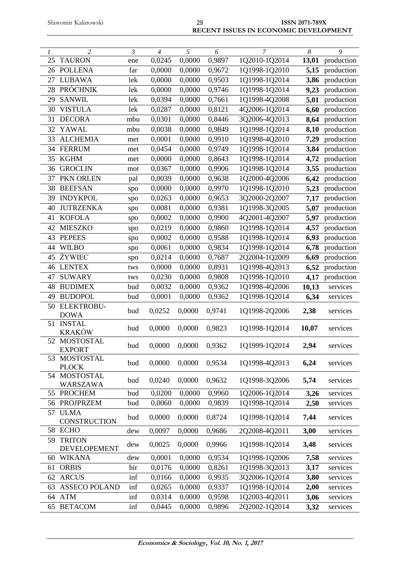| $\mathcal{I}$ | $\overline{2}$                   | $\overline{\mathcal{E}}$ | $\overline{4}$ | $\overline{5}$    | $\overline{6}$ | $\overline{7}$ | $\overline{\delta}$ | $\overline{9}$ |
|---------------|----------------------------------|--------------------------|----------------|-------------------|----------------|----------------|---------------------|----------------|
| 25            | <b>TAURON</b>                    | ene                      | 0,0245         | 0,0000            | 0,9897         | 1Q2010-1Q2014  | 13,01               | production     |
| 26            | <b>POLLENA</b>                   | far                      | 0,0000         | 0,0000            | 0,9672         | 1Q1998-1Q2010  | 5,15                | production     |
| 27            | <b>LUBAWA</b>                    | lek                      | 0,0000         | 0,0000            | 0,9503         | 1Q1998-1Q2014  | 3,86                | production     |
| 28            | <b>PRÓCHNIK</b>                  | lek                      | 0,0000         | 0,0000            | 0,9746         | 1Q1998-1Q2014  | 9,23                | production     |
| 29            | <b>SANWIL</b>                    | lek                      | 0,0394         | 0,0000            | 0,7661         | 1Q1998-4Q2008  | 5,01                | production     |
| 30            | <b>VISTULA</b>                   | lek                      | 0,0287         | 0,0000            | 0,8121         | 4Q2006-1Q2014  | 6,60                | production     |
| 31            | <b>DECORA</b>                    | mbu                      | 0,0301         | 0,0000            | 0,8446         | 3Q2006-4Q2013  | 8,64                | production     |
| 32            | YAWAL                            | mbu                      | 0,0038         | 0,0000            | 0,9849         | 1Q1998-1Q2014  | 8,10                | production     |
| 33            | <b>ALCHEMIA</b>                  | met                      | 0,0001         | 0,0000            | 0,9910         | 1Q1998-4Q2010  | 7,29                | production     |
|               | 34 FERRUM                        | met                      | 0,0454         | 0,0000            | 0,9749         | 1Q1998-1Q2014  | 3,84                | production     |
| 35            | <b>KGHM</b>                      | met                      | 0,0000         | 0,0000            | 0,8643         | 1Q1998-1Q2014  | 4,72                | production     |
| 36            | <b>GROCLIN</b>                   | mot                      | 0,0367         | 0,0000            | 0,9906         | 1Q1998-1Q2014  | 3,55                | production     |
| 37            | PKN ORLEN                        | pal                      | 0,0039         | 0,0000            | 0,9638         | 1Q2000-4Q2006  | 6,42                | production     |
| 38            | <b>BEEFSAN</b>                   | spo                      | 0,0000         | 0,0000            | 0,9970         | 1Q1998-1Q2010  | 5,23                | production     |
| 39            | <b>INDYKPOL</b>                  | spo                      | 0,0263         | 0,0000            | 0,9653         | 3Q2000-2Q2007  | 7,17                | production     |
| 40            | <b>JUTRZENKA</b>                 | spo                      | 0,0081         | 0,0000            | 0,9381         | 1Q1998-3Q2005  | 5,07                | production     |
| 41            | <b>KOFOLA</b>                    | spo                      | 0,0002         | 0,0000            | 0,9900         | 4Q2001-4Q2007  | 5,97                | production     |
| 42            | <b>MIESZKO</b>                   | spo                      | 0,0219         | 0,0000            | 0,9860         | 1Q1998-1Q2014  | 4,57                | production     |
| 43            | <b>PEPEES</b>                    | spo                      | 0,0002         | 0,0000            | 0,9588         | 1Q1998-1Q2014  | 6,93                | production     |
| 44            | <b>WILBO</b>                     | spo                      | 0,0061         | 0,0000            | 0,9834         | 1Q1998-1Q2014  | 6,78                | production     |
| 45            | ŻYWIEC                           | spo                      | 0,0214         | 0,0000            | 0,7687         | 2Q2004-1Q2009  | 6,69                | production     |
| 46            | <b>LENTEX</b>                    | tws                      | 0,0000         | 0,0000            | 0,8931         | 1Q1998-4Q2013  | 6,52                | production     |
| 47            | <b>SUWARY</b>                    | tws                      | 0,0230         | 0,0000            | 0,9808         | 1Q1998-1Q2010  | 4,17                | production     |
| 48            | <b>BUDIMEX</b>                   | bud                      | 0,0032         | 0,0000            | 0,9362         | 1Q1998-4Q2006  | 10,13               | services       |
| 49            | <b>BUDOPOL</b>                   | bud                      | 0,0001         | 0,0000            | 0,9362         | 1Q1998-1Q2014  | 6,34                | services       |
|               | 50 ELEKTROBU-<br><b>DOWA</b>     | bud                      | 0,0252         | 0,0000            | 0,9741         | 1Q1998-2Q2006  | 2,38                | services       |
| 51            | <b>INSTAL</b><br><b>KRAKÓW</b>   | bud                      | 0,0000         | 0,0000            | 0,9823         | 1Q1998-1Q2014  | 10,07               | services       |
|               | 52 MOSTOSTAL<br><b>EXPORT</b>    | bud                      |                | $0,0000$ $0,0000$ | 0,9362         | 1Q1999-1Q2014  | 2,94                | services       |
|               | 53 MOSTOSTAL<br><b>PLOCK</b>     | bud                      | 0,0000         | 0,0000            | 0,9534         | 1Q1998-4Q2013  | 6,24                | services       |
| 54            | <b>MOSTOSTAL</b><br>WARSZAWA     | bud                      | 0,0240         | 0,0000            | 0,9632         | 1Q1998-3Q2006  | 5,74                | services       |
|               | 55 PROCHEM                       | bud                      | 0,0200         | 0,0000            | 0,9960         | 1Q2006-1Q2014  | 3,26                | services       |
|               | 56 PROJPRZEM                     | bud                      | 0,0060         | 0,0000            | 0,9839         | 1Q1998-1Q2014  | 2,50                | services       |
|               | 57 ULMA<br><b>CONSTRUCTION</b>   | bud                      | 0,0000         | 0,0000            | 0,8724         | 1Q1998-1Q2014  | 7,44                | services       |
|               | 58 ECHO                          | dew                      | 0,0097         | 0,0000            | 0,9686         | 2Q2008-4Q2011  | 3,00                | services       |
|               | 59 TRITON<br><b>DEVELOPEMENT</b> | dew                      | 0,0025         | 0,0000            | 0,9966         | 1Q1998-1Q2014  | 3,48                | services       |
| 60            | <b>WIKANA</b>                    | dew                      | 0,0001         | 0,0000            | 0,9534         | 1Q1998-1Q2006  | 7,58                | services       |
| 61            | <b>ORBIS</b>                     | hir                      | 0,0176         | 0,0000            | 0,8261         | 1Q1998-3Q2013  | 3,17                | services       |
| 62            | <b>ARCUS</b>                     | inf                      | 0,0166         | 0,0000            | 0,9935         | 3Q2006-1Q2014  | 3,80                | services       |
| 63            | <b>ASSECO POLAND</b>             | inf                      | 0,0265         | 0,0000            | 0,9337         | 1Q1998-1Q2014  | 2,00                | services       |
| 64            | <b>ATM</b>                       | inf                      | 0,0314         | 0,0000            | 0,9598         | 1Q2003-4Q2011  | 3,06                | services       |
| 65            | <b>BETACOM</b>                   | inf                      | 0,0445         | 0,0000            | 0,9896         | 2Q2002-1Q2014  | 3,32                | services       |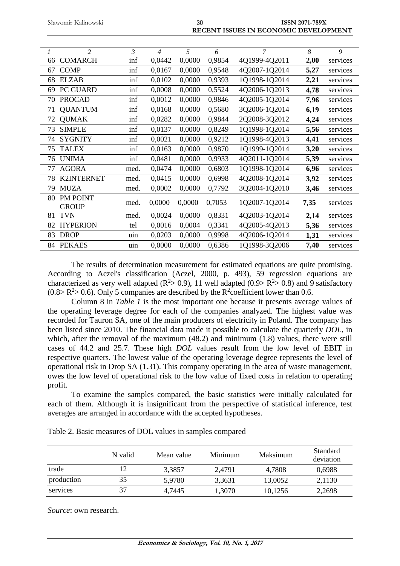| Sławomir Kalinowski |  |
|---------------------|--|
|---------------------|--|

| Sławomir Kalinowski | 30 | <b>ISSN 2071-789X</b>                        |
|---------------------|----|----------------------------------------------|
|                     |    | <b>RECENT ISSUES IN ECONOMIC DEVELOPMENT</b> |

| $\mathcal{I}$ | $\overline{2}$           | $\mathcal{E}$ | $\overline{4}$ | 5      | 6      | $\overline{7}$ | 8    | 9        |
|---------------|--------------------------|---------------|----------------|--------|--------|----------------|------|----------|
| 66            | <b>COMARCH</b>           | inf           | 0,0442         | 0,0000 | 0,9854 | 4Q1999-4Q2011  | 2,00 | services |
| 67            | <b>COMP</b>              | inf           | 0,0167         | 0,0000 | 0,9548 | 4Q2007-1Q2014  | 5,27 | services |
| 68            | <b>ELZAB</b>             | inf           | 0,0102         | 0,0000 | 0,9393 | 1Q1998-1Q2014  | 2,21 | services |
| 69            | PC GUARD                 | inf           | 0,0008         | 0,0000 | 0,5524 | 4Q2006-1Q2013  | 4,78 | services |
| 70            | <b>PROCAD</b>            | inf           | 0,0012         | 0,0000 | 0,9846 | 4Q2005-1Q2014  | 7,96 | services |
| 71            | <b>QUANTUM</b>           | inf           | 0,0168         | 0,0000 | 0,5680 | 3Q2006-1Q2014  | 6,19 | services |
| 72            | <b>QUMAK</b>             | inf           | 0,0282         | 0,0000 | 0,9844 | 2Q2008-3Q2012  | 4,24 | services |
| 73            | <b>SIMPLE</b>            | inf           | 0,0137         | 0,0000 | 0,8249 | 1Q1998-1Q2014  | 5,56 | services |
| 74            | <b>SYGNITY</b>           | inf           | 0,0021         | 0,0000 | 0,9212 | 1Q1998-4Q2013  | 4,41 | services |
| 75            | <b>TALEX</b>             | inf           | 0,0163         | 0,0000 | 0,9870 | 1Q1999-1Q2014  | 3,20 | services |
| 76            | <b>UNIMA</b>             | inf           | 0,0481         | 0,0000 | 0,9933 | 4Q2011-1Q2014  | 5,39 | services |
| 77            | <b>AGORA</b>             | med.          | 0,0474         | 0,0000 | 0,6803 | 1Q1998-1Q2014  | 6,96 | services |
| 78            | <b>K2INTERNET</b>        | med.          | 0,0415         | 0,0000 | 0,6998 | 4Q2008-1Q2014  | 3,92 | services |
| 79            | <b>MUZA</b>              | med.          | 0,0002         | 0,0000 | 0,7792 | 3Q2004-1Q2010  | 3,46 | services |
| 80            | PM POINT<br><b>GROUP</b> | med.          | 0,0000         | 0,0000 | 0,7053 | 1Q2007-1Q2014  | 7,35 | services |
| 81            | <b>TVN</b>               | med.          | 0,0024         | 0,0000 | 0,8331 | 4Q2003-1Q2014  | 2,14 | services |
| 82            | <b>HYPERION</b>          | tel           | 0,0016         | 0,0004 | 0,3341 | 4Q2005-4Q2013  | 5,36 | services |
| 83            | <b>DROP</b>              | uin           | 0,0203         | 0,0000 | 0,9998 | 4Q2006-1Q2014  | 1,31 | services |
|               | 84 PEKAES                | uin           | 0,0000         | 0,0000 | 0,6386 | 1Q1998-3Q2006  | 7,40 | services |

The results of determination measurement for estimated equations are quite promising. According to Aczel's classification (Aczel, 2000, p. 493), 59 regression equations are characterized as very well adapted  $(R^2 > 0.9)$ , 11 well adapted  $(0.9 > R^2 > 0.8)$  and 9 satisfactory  $(0.8 > R<sup>2</sup> > 0.6)$ . Only 5 companies are described by the R<sup>2</sup>coefficient lower than 0.6.

Column 8 in *Table 1* is the most important one because it presents average values of the operating leverage degree for each of the companies analyzed. The highest value was recorded for Tauron SA, one of the main producers of electricity in Poland. The company has been listed since 2010. The financial data made it possible to calculate the quarterly *DOL*, in which, after the removal of the maximum (48.2) and minimum (1.8) values, there were still cases of 44.2 and 25.7. These high *DOL* values result from the low level of EBIT in respective quarters. The lowest value of the operating leverage degree represents the level of operational risk in Drop SA (1.31). This company operating in the area of waste management, owes the low level of operational risk to the low value of fixed costs in relation to operating profit.

To examine the samples compared, the basic statistics were initially calculated for each of them. Although it is insignificant from the perspective of statistical inference, test averages are arranged in accordance with the accepted hypotheses.

|            | N valid | Mean value | Minimum | <b>Maksimum</b> | Standard<br>deviation |
|------------|---------|------------|---------|-----------------|-----------------------|
| trade      |         | 3,3857     | 2,4791  | 4,7808          | 0.6988                |
| production | 35      | 5,9780     | 3.3631  | 13,0052         | 2,1130                |
| services   | 37      | 4.7445     | 1,3070  | 10,1256         | 2,2698                |

Table 2. Basic measures of DOL values in samples compared

*Source*: own research.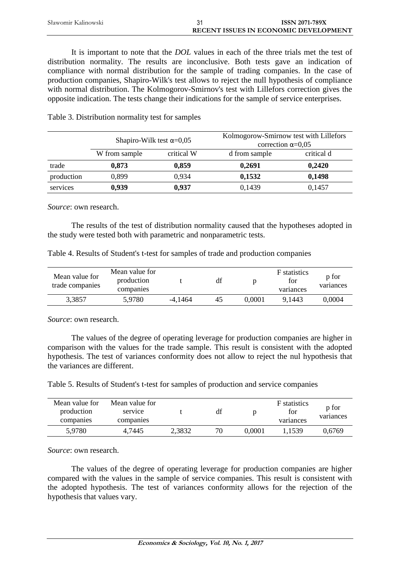| Sławomir Kalinowski | <b>ISSN 2071-789X</b>                        |
|---------------------|----------------------------------------------|
|                     | <b>RECENT ISSUES IN ECONOMIC DEVELOPMENT</b> |

It is important to note that the *DOL* values in each of the three trials met the test of distribution normality. The results are inconclusive. Both tests gave an indication of compliance with normal distribution for the sample of trading companies. In the case of production companies, Shapiro-Wilk's test allows to reject the null hypothesis of compliance with normal distribution. The Kolmogorov-Smirnov's test with Lillefors correction gives the opposite indication. The tests change their indications for the sample of service enterprises.

|            | Shapiro-Wilk test $\alpha$ =0,05 |            | Kolmogorow-Smirnow test with Lillefors<br>correction $\alpha=0.05$ |            |  |
|------------|----------------------------------|------------|--------------------------------------------------------------------|------------|--|
|            | W from sample                    | critical W | d from sample                                                      | critical d |  |
| trade      | 0,873                            | 0,859      | 0,2691                                                             | 0,2420     |  |
| production | 0.899                            | 0.934      | 0,1532                                                             | 0,1498     |  |
| services   | 0,939                            | 0,937      | 0,1439                                                             | 0,1457     |  |

Table 3. Distribution normality test for samples

*Source*: own research.

The results of the test of distribution normality caused that the hypotheses adopted in the study were tested both with parametric and nonparametric tests.

Table 4. Results of Student's t-test for samples of trade and production companies

| Mean value for<br>trade companies | Mean value for<br>production<br>companies |           | df |        | <b>F</b> statistics<br>for<br>variances | p for<br>variances |
|-----------------------------------|-------------------------------------------|-----------|----|--------|-----------------------------------------|--------------------|
| 3,3857                            | 5,9780                                    | $-4.1464$ | 45 | 0.0001 | 9.1443                                  | 0.0004             |

*Source*: own research.

The values of the degree of operating leverage for production companies are higher in comparison with the values for the trade sample. This result is consistent with the adopted hypothesis. The test of variances conformity does not allow to reject the nul hypothesis that the variances are different.

Table 5. Results of Student's t-test for samples of production and service companies

| Mean value for<br>production<br>companies | Mean value for<br>service<br>companies |        | df |        | <b>F</b> statistics<br>for<br>variances | p for<br>variances |
|-------------------------------------------|----------------------------------------|--------|----|--------|-----------------------------------------|--------------------|
| 5,9780                                    | 4.7445                                 | 2,3832 | 70 | 0.0001 | 1.1539                                  | 0.6769             |

*Source*: own research.

The values of the degree of operating leverage for production companies are higher compared with the values in the sample of service companies. This result is consistent with the adopted hypothesis. The test of variances conformity allows for the rejection of the hypothesis that values vary.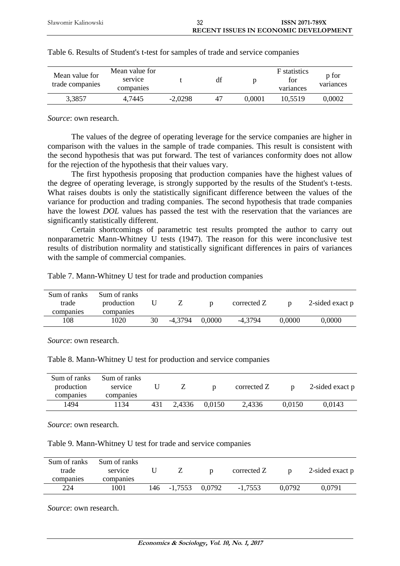| Mean value for<br>trade companies | Mean value for<br>service<br>companies |           | df |        | <b>F</b> statistics<br>for<br>variances | p for<br>variances |
|-----------------------------------|----------------------------------------|-----------|----|--------|-----------------------------------------|--------------------|
| 3,3857                            | 4,7445                                 | $-2,0298$ | 47 | 0.0001 | 10.5519                                 | 0,0002             |

| Table 6. Results of Student's t-test for samples of trade and service companies |  |  |  |
|---------------------------------------------------------------------------------|--|--|--|
|                                                                                 |  |  |  |

*Source*: own research.

The values of the degree of operating leverage for the service companies are higher in comparison with the values in the sample of trade companies. This result is consistent with the second hypothesis that was put forward. The test of variances conformity does not allow for the rejection of the hypothesis that their values vary.

The first hypothesis proposing that production companies have the highest values of the degree of operating leverage, is strongly supported by the results of the Student's t-tests. What raises doubts is only the statistically significant difference between the values of the variance for production and trading companies. The second hypothesis that trade companies have the lowest *DOL* values has passed the test with the reservation that the variances are significantly statistically different.

Certain shortcomings of parametric test results prompted the author to carry out nonparametric Mann-Whitney U tests (1947). The reason for this were inconclusive test results of distribution normality and statistically significant differences in pairs of variances with the sample of commercial companies.

Table 7. Mann-Whitney U test for trade and production companies

| trade<br>companies | production<br>companies |    |         |        | corrected Z |        | 2-sided exact p |
|--------------------|-------------------------|----|---------|--------|-------------|--------|-----------------|
| 108                | 1020                    | 30 | -4.3794 | 0.0000 | $-4.3794$   | 0.0000 | 0.0000          |

*Source*: own research.

Table 8. Mann-Whitney U test for production and service companies

| Sum of ranks<br>production<br>companies | Sum of ranks<br>service<br>companies |     |        |        | corrected Z |        | 2-sided exact p |
|-----------------------------------------|--------------------------------------|-----|--------|--------|-------------|--------|-----------------|
| 1494                                    | 1134                                 | 431 | 2,4336 | 0.0150 | 2,4336      | 0.0150 | 0.0143          |

*Source*: own research.

Table 9. Mann-Whitney U test for trade and service companies

| Sum of ranks<br>trade<br>companies | Sum of ranks<br>service<br>companies |     |           |        | corrected Z |        | 2-sided exact p |
|------------------------------------|--------------------------------------|-----|-----------|--------|-------------|--------|-----------------|
| 224                                | 1001                                 | 146 | $-1,7553$ | 0.0792 | $-1,7553$   | 0.0792 | 0,0791          |

*Source*: own research.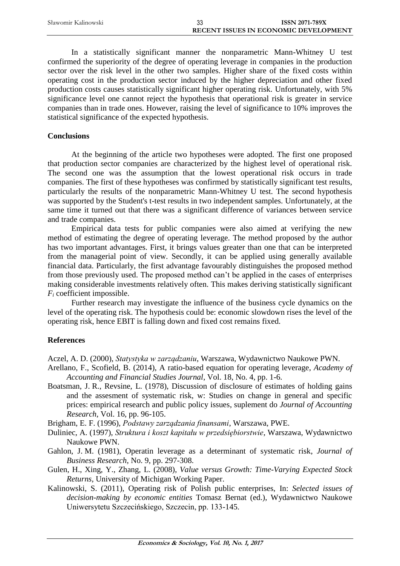| Sławomir Kalinowski | ບປ | <b>ISSN 2071-789X</b>                        |
|---------------------|----|----------------------------------------------|
|                     |    | <b>RECENT ISSUES IN ECONOMIC DEVELOPMENT</b> |

In a statistically significant manner the nonparametric Mann-Whitney U test confirmed the superiority of the degree of operating leverage in companies in the production sector over the risk level in the other two samples. Higher share of the fixed costs within operating cost in the production sector induced by the higher depreciation and other fixed production costs causes statistically significant higher operating risk. Unfortunately, with 5% significance level one cannot reject the hypothesis that operational risk is greater in service companies than in trade ones. However, raising the level of significance to 10% improves the statistical significance of the expected hypothesis.

### **Conclusions**

At the beginning of the article two hypotheses were adopted. The first one proposed that production sector companies are characterized by the highest level of operational risk. The second one was the assumption that the lowest operational risk occurs in trade companies. The first of these hypotheses was confirmed by statistically significant test results, particularly the results of the nonparametric Mann-Whitney U test. The second hypothesis was supported by the Student's t-test results in two independent samples. Unfortunately, at the same time it turned out that there was a significant difference of variances between service and trade companies.

Empirical data tests for public companies were also aimed at verifying the new method of estimating the degree of operating leverage. The method proposed by the author has two important advantages. First, it brings values greater than one that can be interpreted from the managerial point of view. Secondly, it can be applied using generally available financial data. Particularly, the first advantage favourably distinguishes the proposed method from those previously used. The proposed method can't be applied in the cases of enterprises making considerable investments relatively often. This makes deriving statistically significant *F<sup>i</sup>* coefficient impossible.

Further research may investigate the influence of the business cycle dynamics on the level of the operating risk. The hypothesis could be: economic slowdown rises the level of the operating risk, hence EBIT is falling down and fixed cost remains fixed.

# **References**

Aczel, A. D. (2000), *Statystyka w zarządzaniu*, Warszawa, Wydawnictwo Naukowe PWN.

- Arellano, F., Scofield, B. (2014), A ratio-based equation for operating leverage, *Academy of Accounting and Financial Studies Journal*, Vol. 18, No. 4, pp. 1-6.
- Boatsman, J. R., Revsine, L. (1978), Discussion of disclosure of estimates of holding gains and the assesment of systematic risk, w: Studies on change in general and specific prices: empirical research and public policy issues, suplement do *Journal of Accounting Research*, Vol. 16, pp. 96-105.

Brigham, E. F. (1996), *Podstawy zarządzania finansami*, Warszawa, PWE.

- Duliniec, A. (1997), *Struktura i koszt kapitału w przedsiębiorstwie*, Warszawa, Wydawnictwo Naukowe PWN.
- Gahlon, J. M. (1981), Operatin leverage as a determinant of systematic risk, *Journal of Business Research*, No. 9, pp. 297-308.
- Gulen, H., Xing, Y., Zhang, L. (2008), *Value versus Growth: Time-Varying Expected Stock Returns*, University of Michigan Working Paper.
- Kalinowski, S. (2011), Operating risk of Polish public enterprises, In: *Selected issues of decision-making by economic entities* Tomasz Bernat (ed.), Wydawnictwo Naukowe Uniwersytetu Szczecińskiego, Szczecin, pp. 133-145.